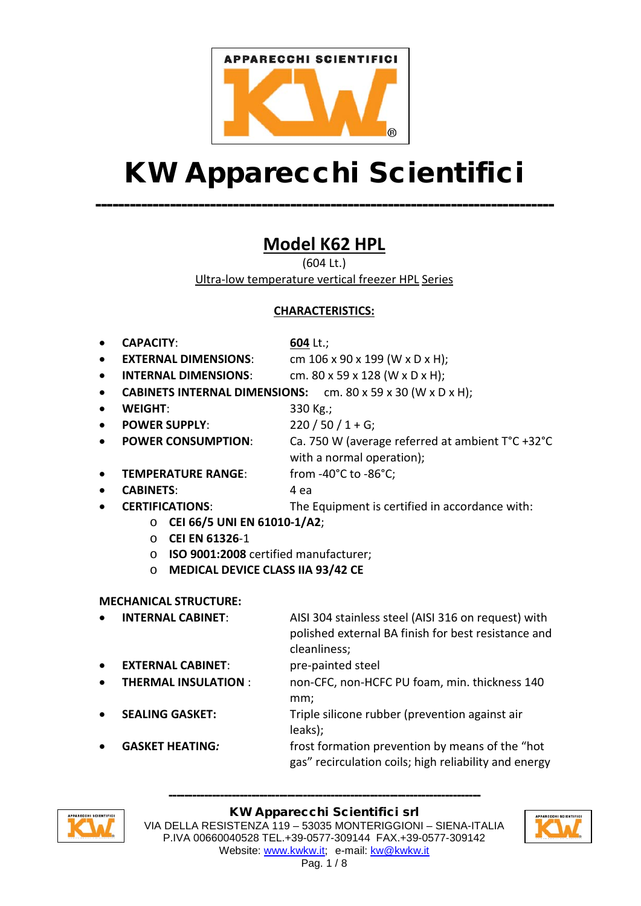

# KW Apparecchi Scientifici

--------------------------------------------------------------------------------

**Model K62 HPL** 

(604 Lt.) Ultra-low temperature vertical freezer HPL Series

# **CHARACTERISTICS:**

- **CAPACITY**: **604** Lt.;
- 

**EXTERNAL DIMENSIONS:** cm 106 x 90 x 199 (W x D x H);

**INTERNAL DIMENSIONS:** cm. 80 x 59 x 128 (W x D x H);

4 ea

- **CABINETS INTERNAL DIMENSIONS:** cm. 80 x 59 x 30 (W x D x H);
- **WEIGHT**: 330 Kg.;
- **POWER SUPPLY**:

• **POWER CONSUMPTION**:

 $220 / 50 / 1 + G$ ;

from -40°C to -86°C;

Ca. 750 W (average referred at ambient T°C +32°C with a normal operation);

• **TEMPERATURE RANGE**:

• **CERTIFICATIONS**:

• **CABINETS**:

The Equipment is certified in accordance with:

- o **CEI 66/5 UNI EN 61010-1/A2**;
	- o **CEI EN 61326**-1
	- o **ISO 9001:2008** certified manufacturer;
	- o **MEDICAL DEVICE CLASS IIA 93/42 CE**

# **MECHANICAL STRUCTURE:**

- **INTERNAL CABINET**: AISI 304 stainless steel (AISI 316 on request) with polished external BA finish for best resistance and cleanliness; **EXTERNAL CABINET:** pre-painted steel • **THERMAL INSULATION** : non-CFC, non-HCFC PU foam, min. thickness 140 mm; **SEALING GASKET:** Triple silicone rubber (prevention against air
- 
- leaks); **GASKET HEATING:** frost formation prevention by means of the "hot gas" recirculation coils; high reliability and energy



#### KW Apparecchi Scientifici srl

-------------------------------------------------------------------------------

VIA DELLA RESISTENZA 119 – 53035 MONTERIGGIONI – SIENA-ITALIA P.IVA 00660040528 TEL.+39-0577-309144 FAX.+39-0577-309142 Website: [www.kwkw.it;](http://www.kwkw.it/) e-mail: [kw@kwkw.it](mailto:kw@kwkw.it)

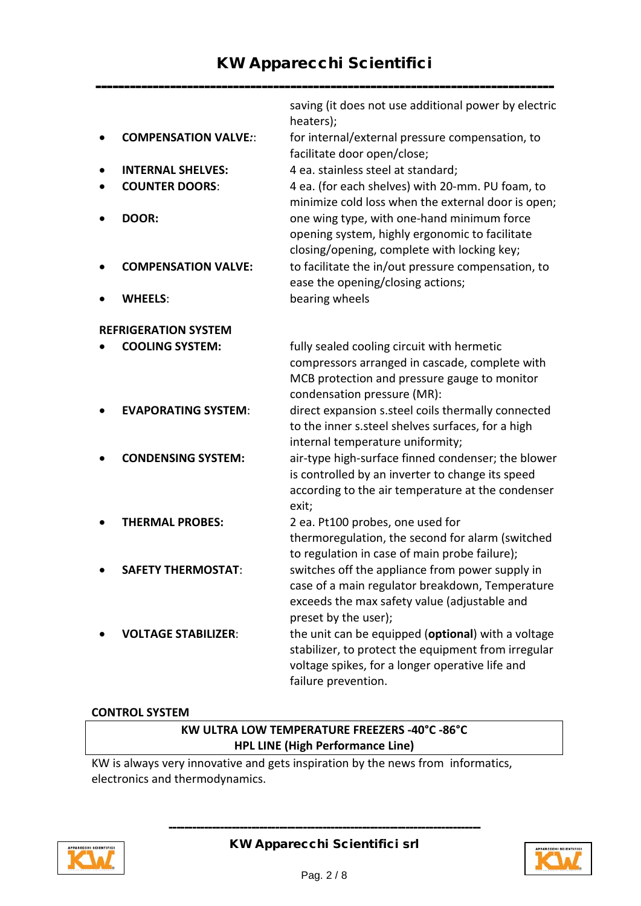|                             |                             | saving (it does not use additional power by electric<br>heaters);                                                                                                                   |
|-----------------------------|-----------------------------|-------------------------------------------------------------------------------------------------------------------------------------------------------------------------------------|
|                             | <b>COMPENSATION VALVE::</b> | for internal/external pressure compensation, to<br>facilitate door open/close;                                                                                                      |
|                             | <b>INTERNAL SHELVES:</b>    | 4 ea. stainless steel at standard;                                                                                                                                                  |
|                             | <b>COUNTER DOORS:</b>       | 4 ea. (for each shelves) with 20-mm. PU foam, to<br>minimize cold loss when the external door is open;                                                                              |
|                             | DOOR:                       | one wing type, with one-hand minimum force<br>opening system, highly ergonomic to facilitate<br>closing/opening, complete with locking key;                                         |
|                             | <b>COMPENSATION VALVE:</b>  | to facilitate the in/out pressure compensation, to<br>ease the opening/closing actions;                                                                                             |
|                             | <b>WHEELS:</b>              | bearing wheels                                                                                                                                                                      |
| <b>REFRIGERATION SYSTEM</b> |                             |                                                                                                                                                                                     |
|                             | <b>COOLING SYSTEM:</b>      | fully sealed cooling circuit with hermetic                                                                                                                                          |
|                             |                             | compressors arranged in cascade, complete with<br>MCB protection and pressure gauge to monitor<br>condensation pressure (MR):                                                       |
|                             | <b>EVAPORATING SYSTEM:</b>  | direct expansion s.steel coils thermally connected<br>to the inner s.steel shelves surfaces, for a high<br>internal temperature uniformity;                                         |
|                             | <b>CONDENSING SYSTEM:</b>   | air-type high-surface finned condenser; the blower<br>is controlled by an inverter to change its speed<br>according to the air temperature at the condenser<br>exit;                |
|                             | <b>THERMAL PROBES:</b>      | 2 ea. Pt100 probes, one used for<br>thermoregulation, the second for alarm (switched<br>to regulation in case of main probe failure);                                               |
|                             | <b>SAFETY THERMOSTAT:</b>   | switches off the appliance from power supply in<br>case of a main regulator breakdown, Temperature<br>exceeds the max safety value (adjustable and<br>preset by the user);          |
|                             | <b>VOLTAGE STABILIZER:</b>  | the unit can be equipped (optional) with a voltage<br>stabilizer, to protect the equipment from irregular<br>voltage spikes, for a longer operative life and<br>failure prevention. |

#### **CONTROL SYSTEM**

# **KW ULTRA LOW TEMPERATURE FREEZERS -40°C -86°C HPL LINE (High Performance Line)**

KW is always very innovative and gets inspiration by the news from informatics, electronics and thermodynamics.



KW Apparecchi Scientifici srl

-------------------------------------------------------------------------------

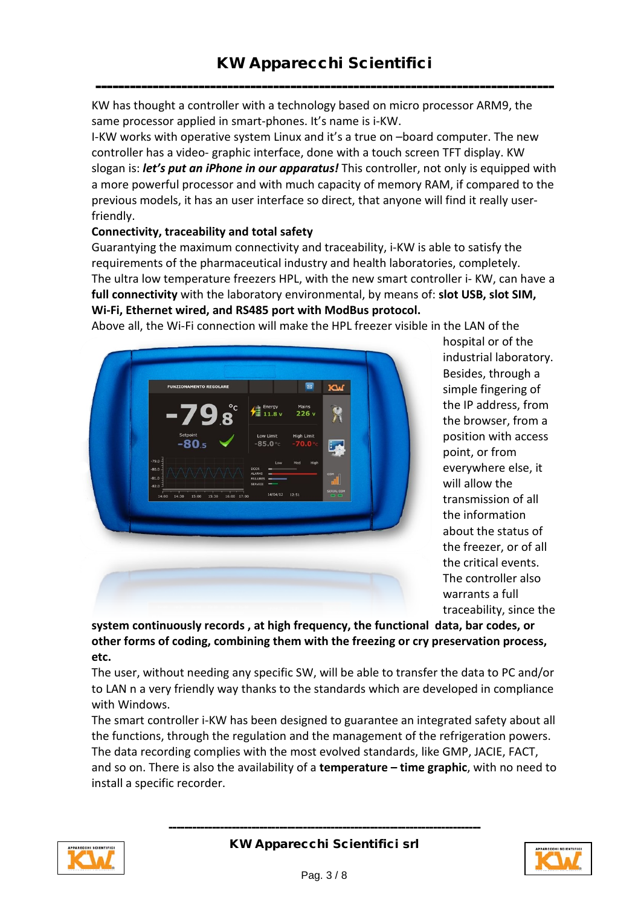-------------------------------------------------------------------------------- KW has thought a controller with a technology based on micro processor ARM9, the same processor applied in smart-phones. It's name is i-KW.

I-KW works with operative system Linux and it's a true on –board computer. The new controller has a video- graphic interface, done with a touch screen TFT display. KW slogan is: *let's put an iPhone in our apparatus!* This controller, not only is equipped with a more powerful processor and with much capacity of memory RAM, if compared to the previous models, it has an user interface so direct, that anyone will find it really userfriendly.

#### **Connectivity, traceability and total safety**

Guarantying the maximum connectivity and traceability, i-KW is able to satisfy the requirements of the pharmaceutical industry and health laboratories, completely. The ultra low temperature freezers HPL, with the new smart controller i- KW, can have a **full connectivity** with the laboratory environmental, by means of: **slot USB, slot SIM, Wi-Fi, Ethernet wired, and RS485 port with ModBus protocol.**

Above all, the Wi-Fi connection will make the HPL freezer visible in the LAN of the



hospital or of the industrial laboratory. Besides, through a simple fingering of the IP address, from the browser, from a position with access point, or from everywhere else, it will allow the transmission of all the information about the status of the freezer, or of all the critical events. The controller also warrants a full traceability, since the

**system continuously records , at high frequency, the functional data, bar codes, or other forms of coding, combining them with the freezing or cry preservation process, etc.** 

The user, without needing any specific SW, will be able to transfer the data to PC and/or to LAN n a very friendly way thanks to the standards which are developed in compliance with Windows.

The smart controller i-KW has been designed to guarantee an integrated safety about all the functions, through the regulation and the management of the refrigeration powers. The data recording complies with the most evolved standards, like GMP, JACIE, FACT, and so on. There is also the availability of a **temperature – time graphic**, with no need to install a specific recorder.



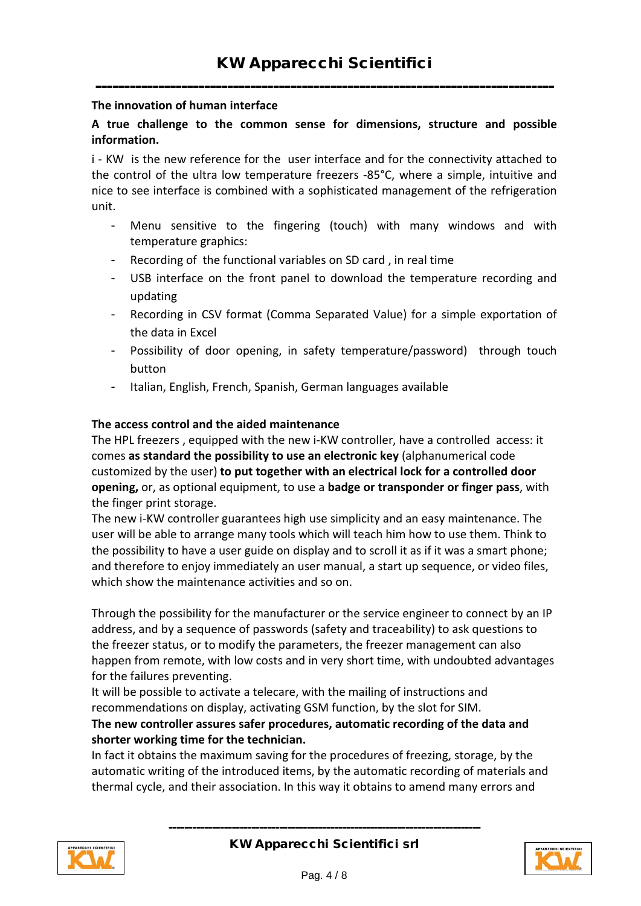## -------------------------------------------------------------------------------- **The innovation of human interface**

## **A true challenge to the common sense for dimensions, structure and possible information.**

i - KW is the new reference for the user interface and for the connectivity attached to the control of the ultra low temperature freezers -85°C, where a simple, intuitive and nice to see interface is combined with a sophisticated management of the refrigeration unit.

- Menu sensitive to the fingering (touch) with many windows and with temperature graphics:
- Recording of the functional variables on SD card, in real time
- USB interface on the front panel to download the temperature recording and updating
- Recording in CSV format (Comma Separated Value) for a simple exportation of the data in Excel
- Possibility of door opening, in safety temperature/password) through touch button
- Italian, English, French, Spanish, German languages available

#### **The access control and the aided maintenance**

The HPL freezers , equipped with the new i-KW controller, have a controlled access: it comes **as standard the possibility to use an electronic key** (alphanumerical code customized by the user) **to put together with an electrical lock for a controlled door opening,** or, as optional equipment, to use a **badge or transponder or finger pass**, with the finger print storage.

The new i-KW controller guarantees high use simplicity and an easy maintenance. The user will be able to arrange many tools which will teach him how to use them. Think to the possibility to have a user guide on display and to scroll it as if it was a smart phone; and therefore to enjoy immediately an user manual, a start up sequence, or video files, which show the maintenance activities and so on.

Through the possibility for the manufacturer or the service engineer to connect by an IP address, and by a sequence of passwords (safety and traceability) to ask questions to the freezer status, or to modify the parameters, the freezer management can also happen from remote, with low costs and in very short time, with undoubted advantages for the failures preventing.

It will be possible to activate a telecare, with the mailing of instructions and recommendations on display, activating GSM function, by the slot for SIM. **The new controller assures safer procedures, automatic recording of the data and** 

#### **shorter working time for the technician.**

In fact it obtains the maximum saving for the procedures of freezing, storage, by the automatic writing of the introduced items, by the automatic recording of materials and thermal cycle, and their association. In this way it obtains to amend many errors and



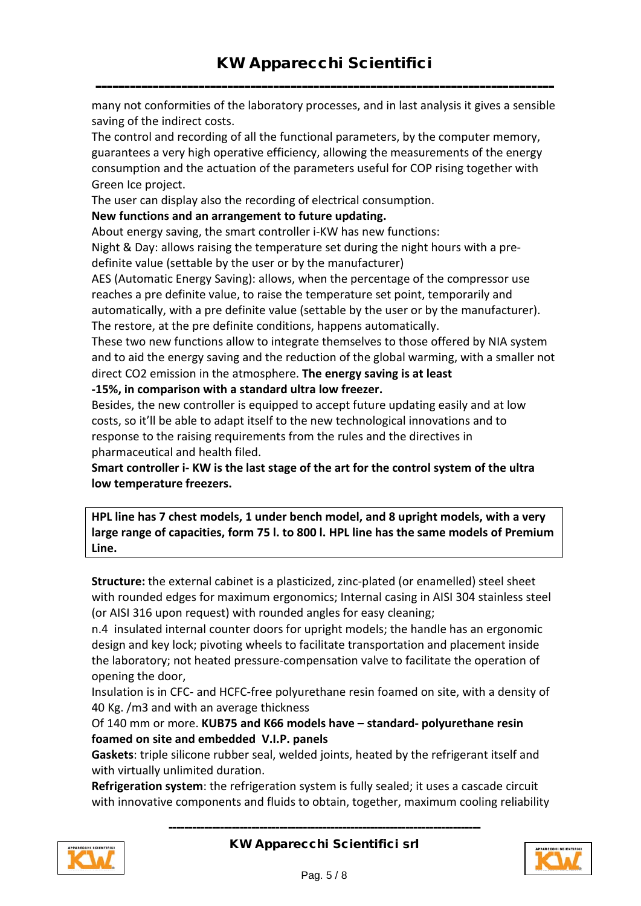------------------------------------------------------------------------------- many not conformities of the laboratory processes, and in last analysis it gives a sensible saving of the indirect costs.

The control and recording of all the functional parameters, by the computer memory, guarantees a very high operative efficiency, allowing the measurements of the energy consumption and the actuation of the parameters useful for COP rising together with Green Ice project.

The user can display also the recording of electrical consumption.

#### **New functions and an arrangement to future updating.**

About energy saving, the smart controller i-KW has new functions:

Night & Day: allows raising the temperature set during the night hours with a predefinite value (settable by the user or by the manufacturer)

AES (Automatic Energy Saving): allows, when the percentage of the compressor use reaches a pre definite value, to raise the temperature set point, temporarily and automatically, with a pre definite value (settable by the user or by the manufacturer). The restore, at the pre definite conditions, happens automatically.

These two new functions allow to integrate themselves to those offered by NIA system and to aid the energy saving and the reduction of the global warming, with a smaller not direct CO2 emission in the atmosphere. **The energy saving is at least** 

**-15%, in comparison with a standard ultra low freezer.** 

Besides, the new controller is equipped to accept future updating easily and at low costs, so it'll be able to adapt itself to the new technological innovations and to response to the raising requirements from the rules and the directives in pharmaceutical and health filed.

**Smart controller i- KW is the last stage of the art for the control system of the ultra low temperature freezers.** 

**HPL line has 7 chest models, 1 under bench model, and 8 upright models, with a very large range of capacities, form 75 l. to 800 l. HPL line has the same models of Premium Line.** 

**Structure:** the external cabinet is a plasticized, zinc-plated (or enamelled) steel sheet with rounded edges for maximum ergonomics; Internal casing in AISI 304 stainless steel (or AISI 316 upon request) with rounded angles for easy cleaning;

n.4 insulated internal counter doors for upright models; the handle has an ergonomic design and key lock; pivoting wheels to facilitate transportation and placement inside the laboratory; not heated pressure-compensation valve to facilitate the operation of opening the door,

Insulation is in CFC- and HCFC-free polyurethane resin foamed on site, with a density of 40 Kg. /m3 and with an average thickness

Of 140 mm or more. **KUB75 and K66 models have – standard- polyurethane resin foamed on site and embedded V.I.P. panels**

**Gaskets**: triple silicone rubber seal, welded joints, heated by the refrigerant itself and with virtually unlimited duration.

**Refrigeration system**: the refrigeration system is fully sealed; it uses a cascade circuit with innovative components and fluids to obtain, together, maximum cooling reliability

-------------------------------------------------------------------------------



KW Apparecchi Scientifici srl

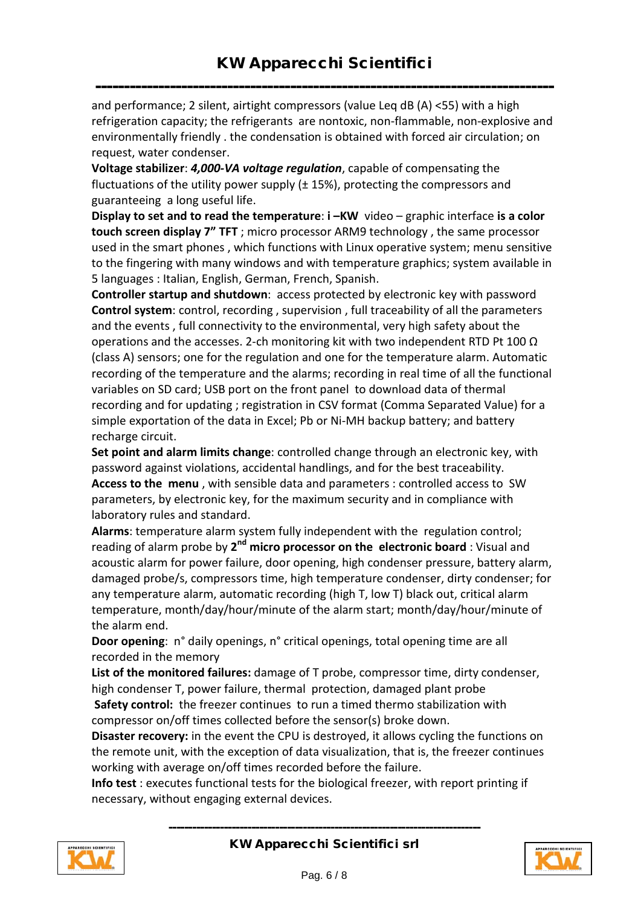------------------------------------------------------------------------------- and performance; 2 silent, airtight compressors (value Leq dB (A) <55) with a high refrigeration capacity; the refrigerants are nontoxic, non-flammable, non-explosive and environmentally friendly . the condensation is obtained with forced air circulation; on request, water condenser.

**Voltage stabilizer**: *4,000-VA voltage regulation*, capable of compensating the fluctuations of the utility power supply  $(\pm 15%)$ , protecting the compressors and guaranteeing a long useful life.

**Display to set and to read the temperature**: **i –KW** video – graphic interface **is a color touch screen display 7" TFT** ; micro processor ARM9 technology , the same processor used in the smart phones , which functions with Linux operative system; menu sensitive to the fingering with many windows and with temperature graphics; system available in 5 languages : Italian, English, German, French, Spanish.

**Controller startup and shutdown**: access protected by electronic key with password **Control system**: control, recording , supervision , full traceability of all the parameters and the events , full connectivity to the environmental, very high safety about the operations and the accesses. 2-ch monitoring kit with two independent RTD Pt 100  $\Omega$ (class A) sensors; one for the regulation and one for the temperature alarm. Automatic recording of the temperature and the alarms; recording in real time of all the functional variables on SD card; USB port on the front panel to download data of thermal recording and for updating ; registration in CSV format (Comma Separated Value) for a simple exportation of the data in Excel; Pb or Ni-MH backup battery; and battery recharge circuit.

**Set point and alarm limits change**: controlled change through an electronic key, with password against violations, accidental handlings, and for the best traceability. **Access to the menu** , with sensible data and parameters : controlled access to SW parameters, by electronic key, for the maximum security and in compliance with laboratory rules and standard.

**Alarms**: temperature alarm system fully independent with the regulation control; reading of alarm probe by **2nd micro processor on the electronic board** : Visual and acoustic alarm for power failure, door opening, high condenser pressure, battery alarm, damaged probe/s, compressors time, high temperature condenser, dirty condenser; for any temperature alarm, automatic recording (high T, low T) black out, critical alarm temperature, month/day/hour/minute of the alarm start; month/day/hour/minute of the alarm end.

**Door opening**: n° daily openings, n° critical openings, total opening time are all recorded in the memory

**List of the monitored failures:** damage of T probe, compressor time, dirty condenser, high condenser T, power failure, thermal protection, damaged plant probe **Safety control:** the freezer continues to run a timed thermo stabilization with compressor on/off times collected before the sensor(s) broke down.

**Disaster recovery:** in the event the CPU is destroyed, it allows cycling the functions on the remote unit, with the exception of data visualization, that is, the freezer continues working with average on/off times recorded before the failure.

**Info test** : executes functional tests for the biological freezer, with report printing if necessary, without engaging external devices.





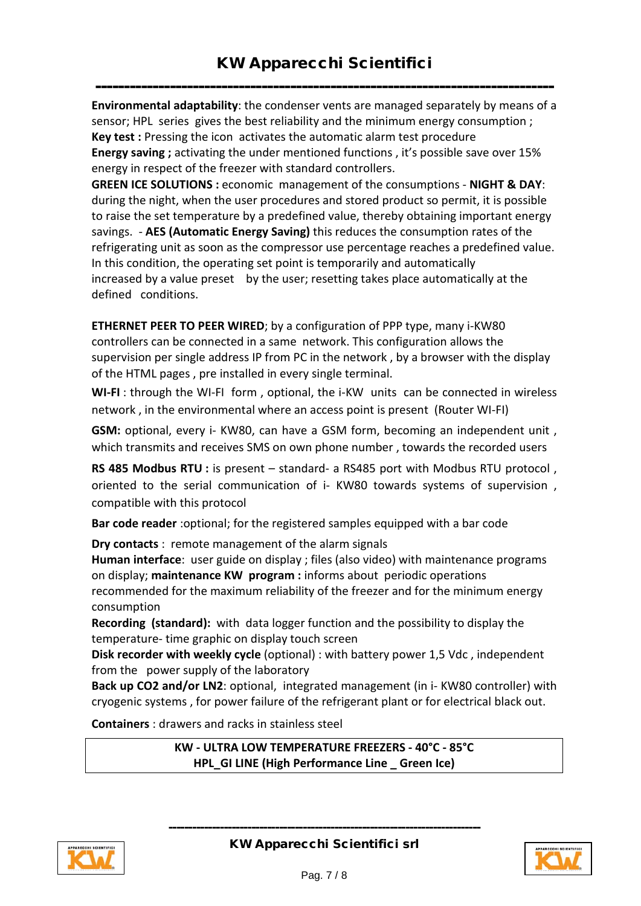-------------------------------------------------------------------------------- **Environmental adaptability**: the condenser vents are managed separately by means of a sensor; HPL series gives the best reliability and the minimum energy consumption ; **Key test :** Pressing the icon activates the automatic alarm test procedure **Energy saving ;** activating the under mentioned functions , it's possible save over 15% energy in respect of the freezer with standard controllers.

**GREEN ICE SOLUTIONS :** economic management of the consumptions - **NIGHT & DAY**: during the night, when the user procedures and stored product so permit, it is possible to raise the set temperature by a predefined value, thereby obtaining important energy savings. - **AES (Automatic Energy Saving)** this reduces the consumption rates of the refrigerating unit as soon as the compressor use percentage reaches a predefined value. In this condition, the operating set point is temporarily and automatically increased by a value preset by the user; resetting takes place automatically at the defined conditions.

**ETHERNET PEER TO PEER WIRED**; by a configuration of PPP type, many i-KW80 controllers can be connected in a same network. This configuration allows the supervision per single address IP from PC in the network , by a browser with the display of the HTML pages , pre installed in every single terminal.

**WI-FI** : through the WI-FI form , optional, the i-KW units can be connected in wireless network , in the environmental where an access point is present (Router WI-FI)

**GSM:** optional, every i- KW80, can have a GSM form, becoming an independent unit , which transmits and receives SMS on own phone number , towards the recorded users

RS 485 Modbus RTU : is present - standard- a RS485 port with Modbus RTU protocol, oriented to the serial communication of i- KW80 towards systems of supervision , compatible with this protocol

**Bar code reader** :optional; for the registered samples equipped with a bar code

**Dry contacts** : remote management of the alarm signals

**Human interface**: user guide on display ; files (also video) with maintenance programs on display; **maintenance KW program :** informs about periodic operations recommended for the maximum reliability of the freezer and for the minimum energy consumption

**Recording (standard):** with data logger function and the possibility to display the temperature- time graphic on display touch screen

**Disk recorder with weekly cycle** (optional) : with battery power 1,5 Vdc , independent from the power supply of the laboratory

**Back up CO2 and/or LN2**: optional, integrated management (in i- KW80 controller) with cryogenic systems , for power failure of the refrigerant plant or for electrical black out.

**Containers** : drawers and racks in stainless steel

**KW - ULTRA LOW TEMPERATURE FREEZERS - 40°C - 85°C HPL\_GI LINE (High Performance Line \_ Green Ice)**